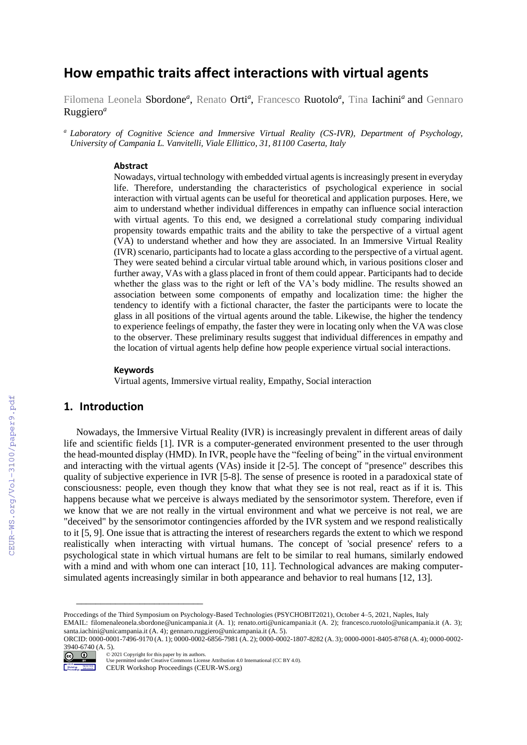# **How empathic traits affect interactions with virtual agents**

Filomena Leonela Sbordone<sup>a</sup>, Renato Orti<sup>a</sup>, Francesco Ruotolo<sup>a</sup>, Tina Iachini<sup>a</sup> and Gennaro Ruggiero*<sup>a</sup>*

*<sup>a</sup> Laboratory of Cognitive Science and Immersive Virtual Reality (CS-IVR), Department of Psychology, University of Campania L. Vanvitelli, Viale Ellittico, 31, 81100 Caserta, Italy*

#### **Abstract**

Nowadays, virtual technology with embedded virtual agents is increasingly present in everyday life. Therefore, understanding the characteristics of psychological experience in social interaction with virtual agents can be useful for theoretical and application purposes. Here, we aim to understand whether individual differences in empathy can influence social interaction with virtual agents. To this end, we designed a correlational study comparing individual propensity towards empathic traits and the ability to take the perspective of a virtual agent (VA) to understand whether and how they are associated. In an Immersive Virtual Reality (IVR) scenario, participants had to locate a glass according to the perspective of a virtual agent. They were seated behind a circular virtual table around which, in various positions closer and further away, VAs with a glass placed in front of them could appear. Participants had to decide whether the glass was to the right or left of the VA's body midline. The results showed an association between some components of empathy and localization time: the higher the tendency to identify with a fictional character, the faster the participants were to locate the glass in all positions of the virtual agents around the table. Likewise, the higher the tendency to experience feelings of empathy, the faster they were in locating only when the VA was close to the observer. These preliminary results suggest that individual differences in empathy and the location of virtual agents help define how people experience virtual social interactions.

#### **Keywords**

Virtual agents, Immersive virtual reality, Empathy, Social interaction

# **1. Introduction**

Nowadays, the Immersive Virtual Reality (IVR) is increasingly prevalent in different areas of daily life and scientific fields [1]. IVR is a computer-generated environment presented to the user through the head-mounted display (HMD). In IVR, people have the "feeling of being" in the virtual environment and interacting with the virtual agents (VAs) inside it [2-5]. The concept of "presence" describes this quality of subjective experience in IVR [5-8]. The sense of presence is rooted in a paradoxical state of consciousness: people, even though they know that what they see is not real, react as if it is. This happens because what we perceive is always mediated by the sensorimotor system. Therefore, even if we know that we are not really in the virtual environment and what we perceive is not real, we are "deceived" by the sensorimotor contingencies afforded by the IVR system and we respond realistically to it [5, 9]. One issue that is attracting the interest of researchers regards the extent to which we respond realistically when interacting with virtual humans. The concept of 'social presence' refers to a psychological state in which virtual humans are felt to be similar to real humans, similarly endowed with a mind and with whom one can interact [10, 11]. Technological advances are making computersimulated agents increasingly similar in both appearance and behavior to real humans [12, 13].

ORCID: 0000-0001-7496-9170 (A. 1); 0000-0002-6856-7981 (A. 2); 0000-0002-1807-8282 (A. 3); 0000-0001-8405-8768 (A. 4); 0000-0002- 3940-6740 (A. 5).



<sup>©️</sup> 2021 Copyright for this paper by its authors. Use permitted under Creative Commons License Attribution 4.0 International (CC BY 4.0).

\_\_\_\_\_\_\_\_\_\_\_\_\_\_\_\_\_\_\_\_\_\_\_\_\_\_

Proccedings of the Third Symposium on Psychology-Based Technologies (PSYCHOBIT2021), October 4–5, 2021, Naples, Italy

EMAIL: filomenaleonela.sbordone@unicampania.it (A. 1); renato.orti@unicampania.it (A. 2); francesco.ruotolo@unicampania.it (A. 3); santa.iachini@unicampania.it (A. 4); gennaro.ruggiero@unicampania.it (A. 5).

CEUR Workshop Proceedings (CEUR-WS.org)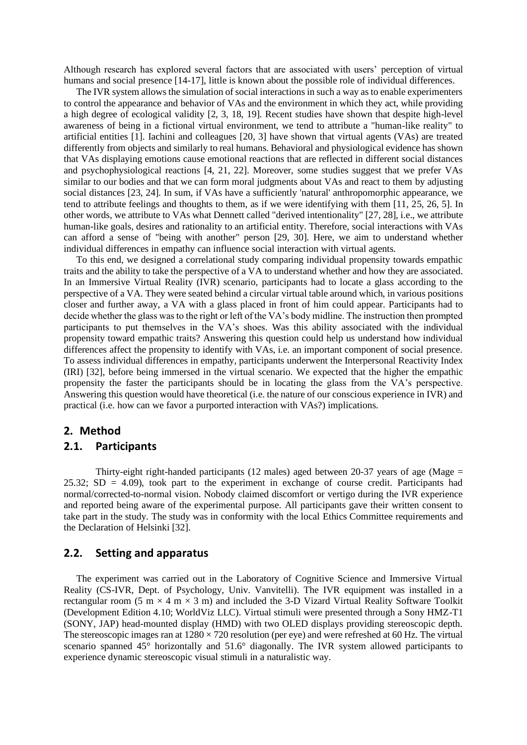Although research has explored several factors that are associated with users' perception of virtual humans and social presence [14-17], little is known about the possible role of individual differences.

The IVR system allows the simulation of social interactions in such a way as to enable experimenters to control the appearance and behavior of VAs and the environment in which they act, while providing a high degree of ecological validity [2, 3, 18, 19]. Recent studies have shown that despite high-level awareness of being in a fictional virtual environment, we tend to attribute a "human-like reality" to artificial entities [1]. Iachini and colleagues [20, 3] have shown that virtual agents (VAs) are treated differently from objects and similarly to real humans. Behavioral and physiological evidence has shown that VAs displaying emotions cause emotional reactions that are reflected in different social distances and psychophysiological reactions [4, 21, 22]. Moreover, some studies suggest that we prefer VAs similar to our bodies and that we can form moral judgments about VAs and react to them by adjusting social distances [23, 24]. In sum, if VAs have a sufficiently 'natural' anthropomorphic appearance, we tend to attribute feelings and thoughts to them, as if we were identifying with them [11, 25, 26, 5]. In other words, we attribute to VAs what Dennett called "derived intentionality" [27, 28], i.e., we attribute human-like goals, desires and rationality to an artificial entity. Therefore, social interactions with VAs can afford a sense of "being with another" person [29, 30]. Here, we aim to understand whether individual differences in empathy can influence social interaction with virtual agents.

To this end, we designed a correlational study comparing individual propensity towards empathic traits and the ability to take the perspective of a VA to understand whether and how they are associated. In an Immersive Virtual Reality (IVR) scenario, participants had to locate a glass according to the perspective of a VA. They were seated behind a circular virtual table around which, in various positions closer and further away, a VA with a glass placed in front of him could appear. Participants had to decide whether the glass was to the right or left of the VA's body midline. The instruction then prompted participants to put themselves in the VA's shoes. Was this ability associated with the individual propensity toward empathic traits? Answering this question could help us understand how individual differences affect the propensity to identify with VAs, i.e. an important component of social presence. To assess individual differences in empathy, participants underwent the Interpersonal Reactivity Index (IRI) [32], before being immersed in the virtual scenario. We expected that the higher the empathic propensity the faster the participants should be in locating the glass from the VA's perspective. Answering this question would have theoretical (i.e. the nature of our conscious experience in IVR) and practical (i.e. how can we favor a purported interaction with VAs?) implications.

# **2. Method**

# **2.1. Participants**

Thirty-eight right-handed participants (12 males) aged between 20-37 years of age (Mage  $=$ 25.32;  $SD = 4.09$ ), took part to the experiment in exchange of course credit. Participants had normal/corrected-to-normal vision. Nobody claimed discomfort or vertigo during the IVR experience and reported being aware of the experimental purpose. All participants gave their written consent to take part in the study. The study was in conformity with the local Ethics Committee requirements and the Declaration of Helsinki [32].

### **2.2. Setting and apparatus**

The experiment was carried out in the Laboratory of Cognitive Science and Immersive Virtual Reality (CS-IVR, Dept. of Psychology, Univ. Vanvitelli). The IVR equipment was installed in a rectangular room (5 m  $\times$  4 m  $\times$  3 m) and included the 3-D Vizard Virtual Reality Software Toolkit (Development Edition 4.10; WorldViz LLC). Virtual stimuli were presented through a Sony HMZ-T1 (SONY, JAP) head-mounted display (HMD) with two OLED displays providing stereoscopic depth. The stereoscopic images ran at  $1280 \times 720$  resolution (per eye) and were refreshed at 60 Hz. The virtual scenario spanned 45° horizontally and 51.6° diagonally. The IVR system allowed participants to experience dynamic stereoscopic visual stimuli in a naturalistic way.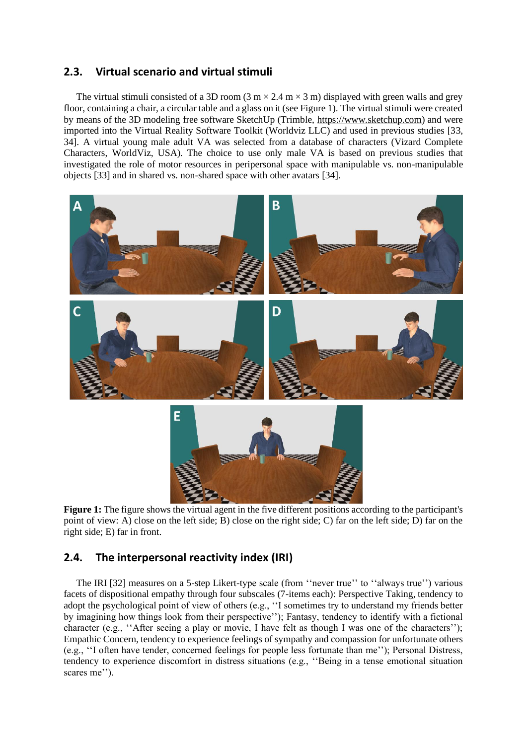# **2.3. Virtual scenario and virtual stimuli**

The virtual stimuli consisted of a 3D room (3 m  $\times$  2.4 m  $\times$  3 m) displayed with green walls and grey floor, containing a chair, a circular table and a glass on it (see Figure 1). The virtual stimuli were created by means of the 3D modeling free software SketchUp (Trimble, [https://www.sketchup.com\)](https://www.sketchup.com/) and were imported into the Virtual Reality Software Toolkit (Worldviz LLC) and used in previous studies [33, 34]. A virtual young male adult VA was selected from a database of characters (Vizard Complete Characters, WorldViz, USA). The choice to use only male VA is based on previous studies that investigated the role of motor resources in peripersonal space with manipulable vs. non-manipulable objects [33] and in shared vs. non-shared space with other avatars [34].



**Figure 1:** The figure shows the virtual agent in the five different positions according to the participant's point of view: A) close on the left side; B) close on the right side; C) far on the left side; D) far on the right side; E) far in front.

# **2.4. The interpersonal reactivity index (IRI)**

The IRI [32] measures on a 5-step Likert-type scale (from ''never true'' to ''always true'') various facets of dispositional empathy through four subscales (7-items each): Perspective Taking, tendency to adopt the psychological point of view of others (e.g., ''I sometimes try to understand my friends better by imagining how things look from their perspective''); Fantasy, tendency to identify with a fictional character (e.g., "After seeing a play or movie, I have felt as though I was one of the characters"); Empathic Concern, tendency to experience feelings of sympathy and compassion for unfortunate others (e.g., ''I often have tender, concerned feelings for people less fortunate than me''); Personal Distress, tendency to experience discomfort in distress situations (e.g., ''Being in a tense emotional situation scares me'').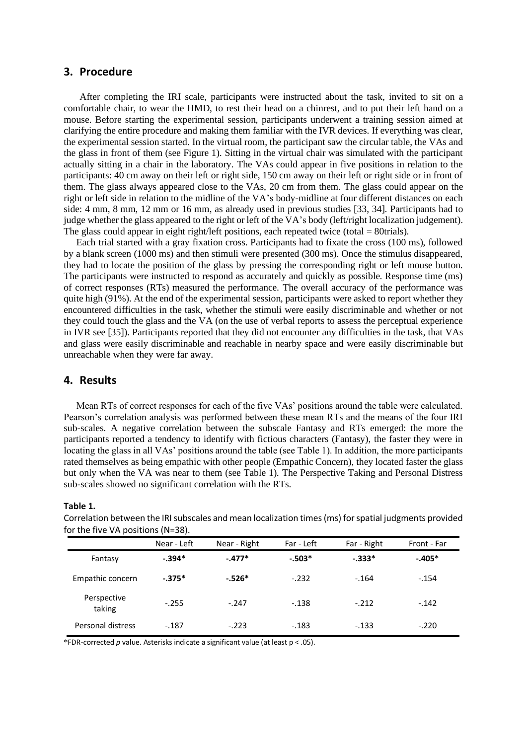### **3. Procedure**

After completing the IRI scale, participants were instructed about the task, invited to sit on a comfortable chair, to wear the HMD, to rest their head on a chinrest, and to put their left hand on a mouse. Before starting the experimental session, participants underwent a training session aimed at clarifying the entire procedure and making them familiar with the IVR devices. If everything was clear, the experimental session started. In the virtual room, the participant saw the circular table, the VAs and the glass in front of them (see Figure 1). Sitting in the virtual chair was simulated with the participant actually sitting in a chair in the laboratory. The VAs could appear in five positions in relation to the participants: 40 cm away on their left or right side, 150 cm away on their left or right side or in front of them. The glass always appeared close to the VAs, 20 cm from them. The glass could appear on the right or left side in relation to the midline of the VA's body-midline at four different distances on each side: 4 mm, 8 mm, 12 mm or 16 mm, as already used in previous studies [33, 34]. Participants had to judge whether the glass appeared to the right or left of the VA's body (left/right localization judgement). The glass could appear in eight right/left positions, each repeated twice (total  $= 80$ trials).

Each trial started with a gray fixation cross. Participants had to fixate the cross (100 ms), followed by a blank screen (1000 ms) and then stimuli were presented (300 ms). Once the stimulus disappeared, they had to locate the position of the glass by pressing the corresponding right or left mouse button. The participants were instructed to respond as accurately and quickly as possible. Response time (ms) of correct responses (RTs) measured the performance. The overall accuracy of the performance was quite high (91%). At the end of the experimental session, participants were asked to report whether they encountered difficulties in the task, whether the stimuli were easily discriminable and whether or not they could touch the glass and the VA (on the use of verbal reports to assess the perceptual experience in IVR see [35]). Participants reported that they did not encounter any difficulties in the task, that VAs and glass were easily discriminable and reachable in nearby space and were easily discriminable but unreachable when they were far away.

# **4. Results**

Mean RTs of correct responses for each of the five VAs' positions around the table were calculated. Pearson's correlation analysis was performed between these mean RTs and the means of the four IRI sub-scales. A negative correlation between the subscale Fantasy and RTs emerged: the more the participants reported a tendency to identify with fictious characters (Fantasy), the faster they were in locating the glass in all VAs' positions around the table (see Table 1). In addition, the more participants rated themselves as being empathic with other people (Empathic Concern), they located faster the glass but only when the VA was near to them (see Table 1). The Perspective Taking and Personal Distress sub-scales showed no significant correlation with the RTs.

#### **Table 1.**

Correlation between the IRI subscales and mean localization times (ms) for spatial judgments provided for the five VA positions (N=38).

|                       | Near - Left | Near - Right | Far - Left | Far - Right | Front - Far |
|-----------------------|-------------|--------------|------------|-------------|-------------|
| Fantasy               | $-.394*$    | $-.477*$     | $-.503*$   | $-333*$     | $-.405*$    |
| Empathic concern      | $-.375*$    | $-526*$      | $-.232$    | $-.164$     | $-.154$     |
| Perspective<br>taking | $-.255$     | $-.247$      | $-.138$    | $-.212$     | $-.142$     |
| Personal distress     | $-.187$     | $-.223$      | $-.183$    | $-.133$     | $-.220$     |

\*FDR-corrected *p* value. Asterisks indicate a significant value (at least p < .05).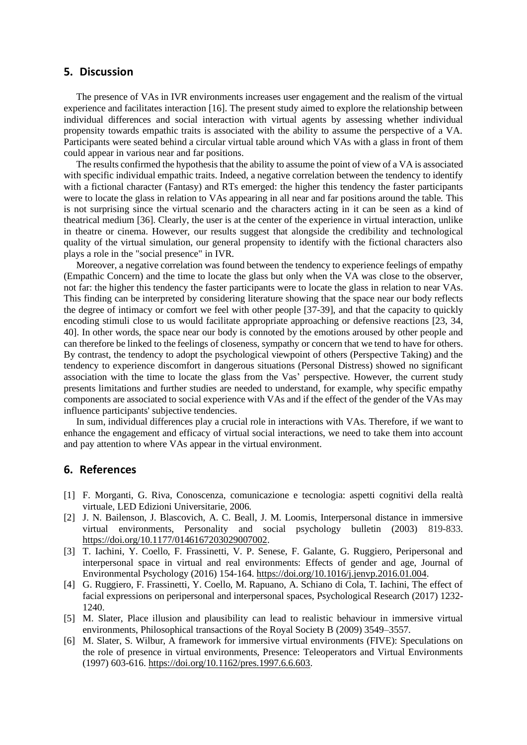### **5. Discussion**

The presence of VAs in IVR environments increases user engagement and the realism of the virtual experience and facilitates interaction [16]. The present study aimed to explore the relationship between individual differences and social interaction with virtual agents by assessing whether individual propensity towards empathic traits is associated with the ability to assume the perspective of a VA. Participants were seated behind a circular virtual table around which VAs with a glass in front of them could appear in various near and far positions.

The results confirmed the hypothesis that the ability to assume the point of view of a VA is associated with specific individual empathic traits. Indeed, a negative correlation between the tendency to identify with a fictional character (Fantasy) and RTs emerged: the higher this tendency the faster participants were to locate the glass in relation to VAs appearing in all near and far positions around the table. This is not surprising since the virtual scenario and the characters acting in it can be seen as a kind of theatrical medium [36]. Clearly, the user is at the center of the experience in virtual interaction, unlike in theatre or cinema. However, our results suggest that alongside the credibility and technological quality of the virtual simulation, our general propensity to identify with the fictional characters also plays a role in the "social presence" in IVR.

Moreover, a negative correlation was found between the tendency to experience feelings of empathy (Empathic Concern) and the time to locate the glass but only when the VA was close to the observer, not far: the higher this tendency the faster participants were to locate the glass in relation to near VAs. This finding can be interpreted by considering literature showing that the space near our body reflects the degree of intimacy or comfort we feel with other people [37-39], and that the capacity to quickly encoding stimuli close to us would facilitate appropriate approaching or defensive reactions [23, 34, 40]. In other words, the space near our body is connoted by the emotions aroused by other people and can therefore be linked to the feelings of closeness, sympathy or concern that we tend to have for others. By contrast, the tendency to adopt the psychological viewpoint of others (Perspective Taking) and the tendency to experience discomfort in dangerous situations (Personal Distress) showed no significant association with the time to locate the glass from the Vas' perspective. However, the current study presents limitations and further studies are needed to understand, for example, why specific empathy components are associated to social experience with VAs and if the effect of the gender of the VAs may influence participants' subjective tendencies.

In sum, individual differences play a crucial role in interactions with VAs. Therefore, if we want to enhance the engagement and efficacy of virtual social interactions, we need to take them into account and pay attention to where VAs appear in the virtual environment.

# **6. References**

- [1] F. Morganti, G. Riva, Conoscenza, comunicazione e tecnologia: aspetti cognitivi della realtà virtuale, LED Edizioni Universitarie, 2006.
- [2] J. N. Bailenson, J. Blascovich, A. C. Beall, J. M. Loomis, Interpersonal distance in immersive virtual environments, Personality and social psychology bulletin (2003) 819-833. [https://doi.org/10.1177/0146167203029007002.](https://doi.org/10.1177/0146167203029007002)
- [3] T. Iachini, Y. Coello, F. Frassinetti, V. P. Senese, F. Galante, G. Ruggiero, Peripersonal and interpersonal space in virtual and real environments: Effects of gender and age, Journal of Environmental Psychology (2016) 154-164. [https://doi.org/10.1016/j.jenvp.2016.01.004.](https://doi.org/10.1016/j.jenvp.2016.01.004)
- [4] G. Ruggiero, F. Frassinetti, Y. Coello, M. Rapuano, A. Schiano di Cola, T. Iachini, The effect of facial expressions on peripersonal and interpersonal spaces, Psychological Research (2017) 1232- 1240.
- [5] M. Slater, Place illusion and plausibility can lead to realistic behaviour in immersive virtual environments, Philosophical transactions of the Royal Society B (2009) 3549–3557.
- [6] M. Slater, S. Wilbur, A framework for immersive virtual environments (FIVE): Speculations on the role of presence in virtual environments, Presence: Teleoperators and Virtual Environments (1997) 603-616[. https://doi.org/10.1162/pres.1997.6.6.603.](https://doi.org/10.1162/pres.1997.6.6.603)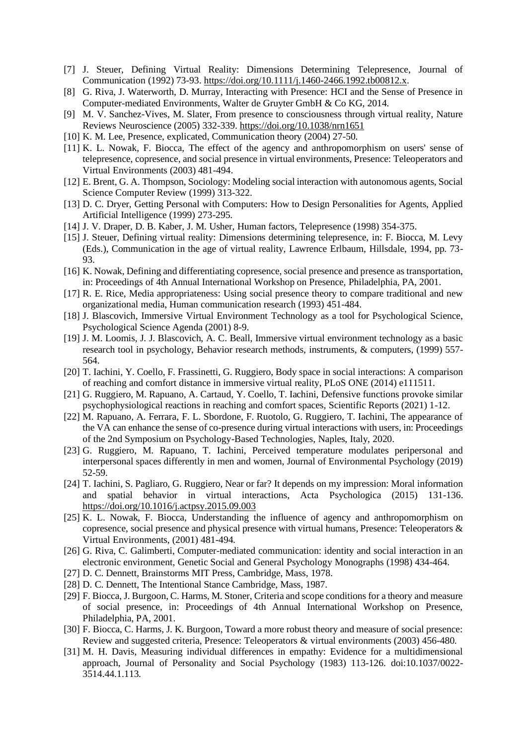- [7] J. Steuer, Defining Virtual Reality: Dimensions Determining Telepresence, Journal of Communication (1992) 73-93. [https://doi.org/10.1111/j.1460-2466.1992.tb00812.x.](https://doi.org/10.1111/j.1460-2466.1992.tb00812.x)
- [8] G. Riva, J. Waterworth, D. Murray, Interacting with Presence: HCI and the Sense of Presence in Computer-mediated Environments, Walter de Gruyter GmbH & Co KG, 2014.
- [9] M. V. Sanchez-Vives, M. Slater, From presence to consciousness through virtual reality, Nature Reviews Neuroscience (2005) 332-339.<https://doi.org/10.1038/nrn1651>
- [10] K. M. Lee, Presence, explicated, Communication theory (2004) 27-50.
- [11] K. L. Nowak, F. Biocca, The effect of the agency and anthropomorphism on users' sense of telepresence, copresence, and social presence in virtual environments, Presence: Teleoperators and Virtual Environments (2003) 481-494.
- [12] E. Brent, G. A. Thompson, Sociology: Modeling social interaction with autonomous agents, Social Science Computer Review (1999) 313-322.
- [13] D. C. Dryer, Getting Personal with Computers: How to Design Personalities for Agents, Applied Artificial Intelligence (1999) 273-295.
- [14] J. V. Draper, D. B. Kaber, J. M. Usher, Human factors, Telepresence (1998) 354-375.
- [15] J. Steuer, Defining virtual reality: Dimensions determining telepresence, in: F. Biocca, M. Levy (Eds.), Communication in the age of virtual reality, Lawrence Erlbaum, Hillsdale, 1994, pp. 73- 93.
- [16] K. Nowak, Defining and differentiating copresence, social presence and presence as transportation, in: Proceedings of 4th Annual International Workshop on Presence, Philadelphia, PA, 2001.
- [17] R. E. Rice, Media appropriateness: Using social presence theory to compare traditional and new organizational media, Human communication research (1993) 451-484.
- [18] J. Blascovich, Immersive Virtual Environment Technology as a tool for Psychological Science, Psychological Science Agenda (2001) 8-9.
- [19] J. M. Loomis, J. J. Blascovich, A. C. Beall, Immersive virtual environment technology as a basic research tool in psychology, Behavior research methods, instruments, & computers, (1999) 557- 564.
- [20] T. Iachini, Y. Coello, F. Frassinetti, G. Ruggiero, Body space in social interactions: A comparison of reaching and comfort distance in immersive virtual reality, PLoS ONE (2014) e111511.
- [21] G. Ruggiero, M. Rapuano, A. Cartaud, Y. Coello, T. Iachini, Defensive functions provoke similar psychophysiological reactions in reaching and comfort spaces, Scientific Reports (2021) 1-12.
- [22] M. Rapuano, A. Ferrara, F. L. Sbordone, F. Ruotolo, G. Ruggiero, T. Iachini, The appearance of the VA can enhance the sense of co-presence during virtual interactions with users, in: Proceedings of the 2nd Symposium on Psychology-Based Technologies, Naples, Italy, 2020.
- [23] G. Ruggiero, M. Rapuano, T. Iachini, Perceived temperature modulates peripersonal and interpersonal spaces differently in men and women, Journal of Environmental Psychology (2019) 52-59.
- [24] T. Iachini, S. Pagliaro, G. Ruggiero, Near or far? It depends on my impression: Moral information and spatial behavior in virtual interactions, Acta Psychologica (2015) 131-136. <https://doi.org/10.1016/j.actpsy.2015.09.003>
- [25] K. L. Nowak, F. Biocca, Understanding the influence of agency and anthropomorphism on copresence, social presence and physical presence with virtual humans, Presence: Teleoperators & Virtual Environments, (2001) 481-494.
- [26] G. Riva, C. Galimberti, Computer-mediated communication: identity and social interaction in an electronic environment, Genetic Social and General Psychology Monographs (1998) 434-464.
- [27] D. C. Dennett, Brainstorms MIT Press, Cambridge, Mass, 1978.
- [28] D. C. Dennett, The Intentional Stance Cambridge, Mass, 1987.
- [29] F. Biocca, J. Burgoon, C. Harms, M. Stoner, Criteria and scope conditions for a theory and measure of social presence, in: Proceedings of 4th Annual International Workshop on Presence, Philadelphia, PA, 2001.
- [30] F. Biocca, C. Harms, J. K. Burgoon, Toward a more robust theory and measure of social presence: Review and suggested criteria, Presence: Teleoperators & virtual environments (2003) 456-480.
- [31] M. H. Davis, Measuring individual differences in empathy: Evidence for a multidimensional approach, Journal of Personality and Social Psychology (1983) 113-126. doi:10.1037/0022- 3514.44.1.113.